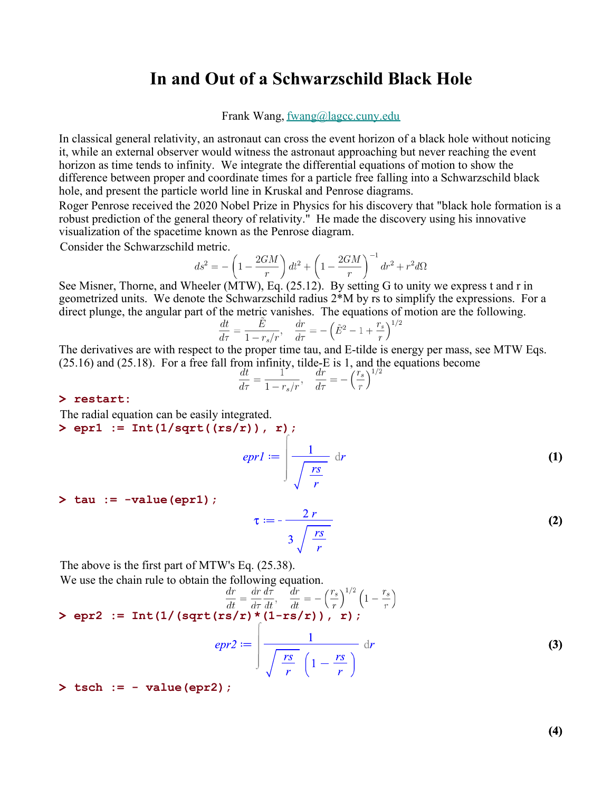# **In and Out of a Schwarzschild Black Hole**

## Frank Wang, fwang@lagcc.cuny.edu

In classical general relativity, an astronaut can cross the event horizon of a black hole without noticing it, while an external observer would witness the astronaut approaching but never reaching the event horizon as time tends to infinity. We integrate the differential equations of motion to show the difference between proper and coordinate times for a particle free falling into a Schwarzschild black hole, and present the particle world line in Kruskal and Penrose diagrams.

Roger Penrose received the 2020 Nobel Prize in Physics for his discovery that "black hole formation is a robust prediction of the general theory of relativity." He made the discovery using his innovative visualization of the spacetime known as the Penrose diagram.

Consider the Schwarzschild metric.

$$
ds^{2} = -\left(1 - \frac{2GM}{r}\right)dt^{2} + \left(1 - \frac{2GM}{r}\right)^{-1}dr^{2} + r^{2}d\Omega
$$

See Misner, Thorne, and Wheeler (MTW), Eq. (25.12). By setting G to unity we express t and r in geometrized units. We denote the Schwarzschild radius 2\*M by rs to simplify the expressions. For a direct plunge, the angular part of the metric vanishes. The equations of motion are the following.

$$
\frac{dt}{d\tau} = \frac{\dot{E}}{1 - r_s/r}, \quad \frac{dr}{d\tau} = -\left(\tilde{E}^2 - 1 + \frac{r_s}{r}\right)^{1/2}
$$

The derivatives are with respect to the proper time tau, and E-tilde is energy per mass, see MTW Eqs. (25.16) and (25.18). For a free fall from infinity, tilde-E is 1, and the equations become

$$
\frac{dt}{d\tau} = \frac{1}{1 - r_s/r}, \quad \frac{dr}{d\tau} = -\left(\frac{r_s}{r}\right)^{1/2}
$$

## **> restart:**

The radial equation can be easily integrated.

**> epr1 := Int(1/sqrt((rs/r)), r);**

$$
epr1 := \frac{1}{\sqrt{\frac{rs}{r}}} dr \tag{1}
$$

**> tau := -value(epr1);**

$$
\tau := -\frac{2 r}{3 \sqrt{\frac{r s}{r}}}
$$
 (2)

The above is the first part of MTW's Eq. (25.38).

The above is the first part of MI W's Eq. (25.38).  
\nWe use the chain rule to obtain the following equation.  
\n
$$
\frac{dr}{dt} = \frac{dr}{d\tau} \frac{dr}{dt}, \quad \frac{dr}{dt} = -\left(\frac{r_s}{r}\right)^{1/2} \left(1 - \frac{r_s}{r}\right)
$$
\n
$$
\Rightarrow \text{epr2} := \text{Int(1/}(\text{sqrt}(rs/r) * (1 - rs/r)), r);
$$
\n
$$
epr2 := \int \frac{1}{\sqrt{\frac{rs}{r}} \left(1 - \frac{rs}{r}\right)} dr
$$
\n
$$
\Rightarrow \text{tsch} := -\text{ value}(\text{epr2}) ;
$$

**(4)**

**(3)**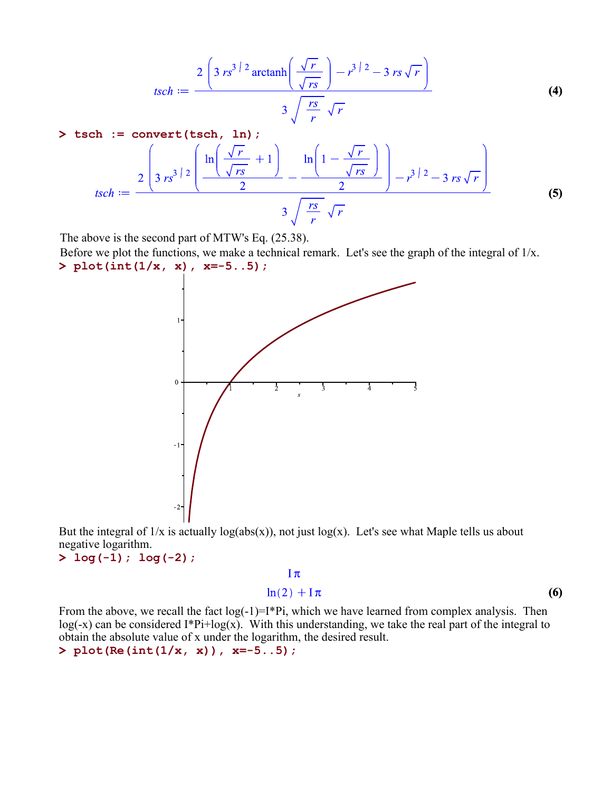$$
tsch := \frac{2\left(3\,rs^{3/2}\,\text{arctanh}\left(\frac{\sqrt{r}}{\sqrt{rs}}\right)-r^{3/2}-3\,rs\,\sqrt{r}\right)}{3\,\sqrt{\frac{rs}{r}}\,\sqrt{r}}
$$
 (4)

$$
\mathbf{r} \cdot \mathbf{r} = \mathbf{c} \cdot \mathbf{c} \cdot \mathbf{r}
$$
\n
$$
tsch := \frac{2 \left( 3 r s^{3/2} \left( \frac{\ln \left( \frac{\sqrt{r}}{\sqrt{rs}} + 1 \right)}{2} - \frac{\ln \left( 1 - \frac{\sqrt{r}}{\sqrt{rs}} \right)}{2} \right) - r^{3/2} - 3 r s \sqrt{r} \right)}{3 \sqrt{\frac{r s}{r}} \sqrt{r}}
$$
\n(5)

The above is the second part of MTW's Eq. (25.38).

**> plot(int(1/x, x), x=-5..5);** Before we plot the functions, we make a technical remark. Let's see the graph of the integral of 1/x.



But the integral of  $1/x$  is actually  $log(abs(x))$ , not just  $log(x)$ . Let's see what Maple tells us about negative logarithm.

**> log(-1); log(-2);**

$$
-I\,\pi
$$

#### $ln(2) + \mathbf{I}\pi$

**(6)**

**> plot(Re(int(1/x, x)), x=-5..5);**From the above, we recall the fact log(-1)=I\*Pi, which we have learned from complex analysis. Then log(-x) can be considered I\*Pi+log(x). With this understanding, we take the real part of the integral to obtain the absolute value of x under the logarithm, the desired result.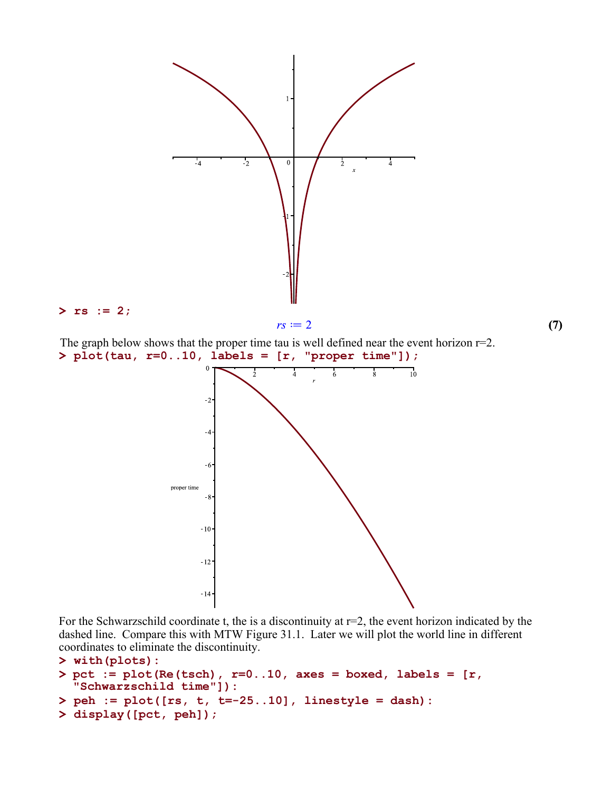

For the Schwarzschild coordinate t, the is a discontinuity at  $r=2$ , the event horizon indicated by the dashed line. Compare this with MTW Figure 31.1. Later we will plot the world line in different coordinates to eliminate the discontinuity.

```
> 
with(plots):
```

```
> 
pct := plot(Re(tsch), r=0..10, axes = boxed, labels = [r, 
 "Schwarzschild time"]):
```

```
> 
peh := plot([rs, t, t=-25..10], linestyle = dash):
```

```
> 
display([pct, peh]);
```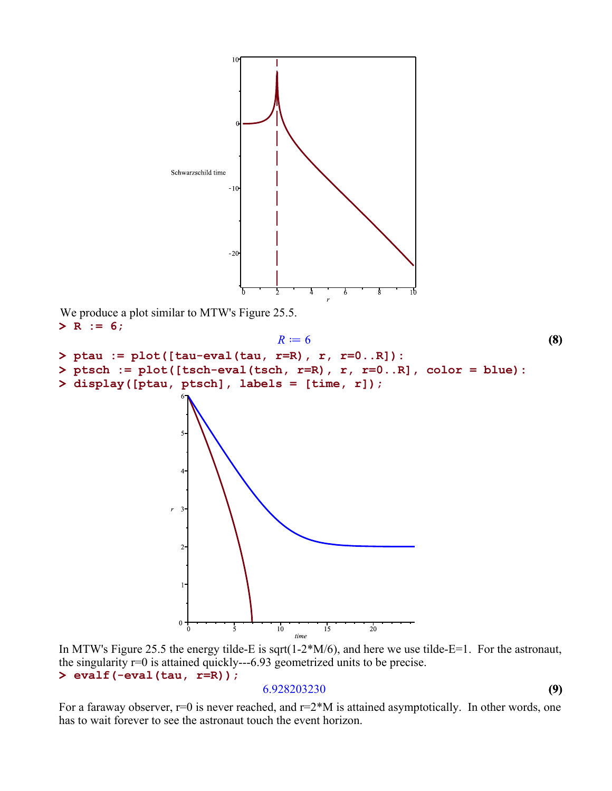

In MTW's Figure 25.5 the energy tilde-E is sqrt(1-2\*M/6), and here we use tilde-E=1. For the astronaut, the singularity r=0 is attained quickly---6.93 geometrized units to be precise.

**> evalf(-eval(tau, r=R));**

#### 6.928203230

**(9)**

For a faraway observer,  $r=0$  is never reached, and  $r=2^*M$  is attained asymptotically. In other words, one has to wait forever to see the astronaut touch the event horizon.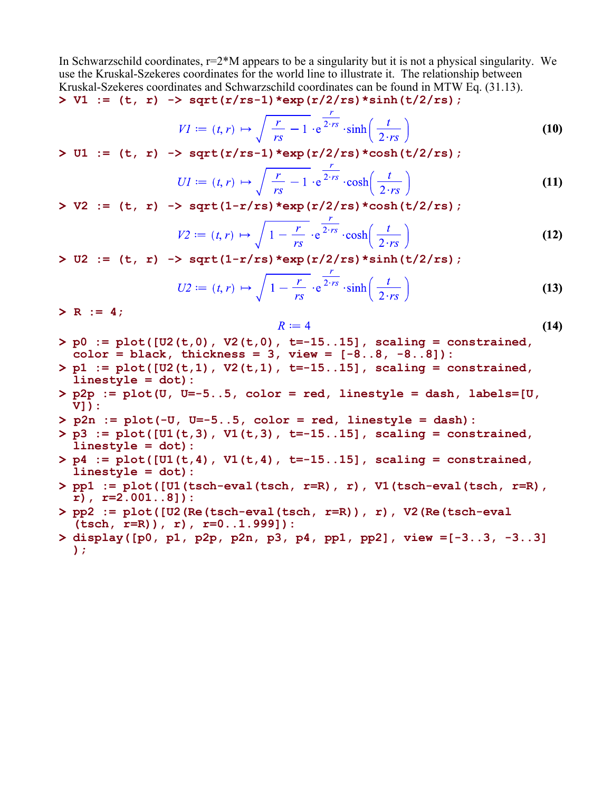**> V1 := (t, r) -> sqrt(r/rs-1)\*exp(r/2/rs)\*sinh(t/2/rs);** In Schwarzschild coordinates,  $r=2^*M$  appears to be a singularity but it is not a physical singularity. We use the Kruskal-Szekeres coordinates for the world line to illustrate it. The relationship between Kruskal-Szekeres coordinates and Schwarzschild coordinates can be found in MTW Eq. (31.13).

$$
VI := (t, r) \mapsto \sqrt{\frac{r}{rs} - 1} \cdot e^{\frac{r}{2 \cdot rs}} \cdot \sinh\left(\frac{t}{2 \cdot rs}\right)
$$
 (10)

**> U1 := (t, r) -> sqrt(r/rs-1)\*exp(r/2/rs)\*cosh(t/2/rs);**

$$
UI := (t, r) \mapsto \sqrt{\frac{r}{rs} - 1} \cdot e^{\frac{t}{2 \cdot rs}} \cdot \cosh\left(\frac{t}{2 \cdot rs}\right)
$$
 (11)

**> V2 := (t, r) -> sqrt(1-r/rs)\*exp(r/2/rs)\*cosh(t/2/rs);**

$$
V2 := (t, r) \mapsto \sqrt{1 - \frac{r}{rs}} \cdot e^{\frac{r}{2 \cdot rs}} \cdot \cosh\left(\frac{t}{2 \cdot rs}\right)
$$
 (12)

**> U2 := (t, r) -> sqrt(1-r/rs)\*exp(r/2/rs)\*sinh(t/2/rs);**

$$
U2 := (t, r) \mapsto \sqrt{1 - \frac{r}{rs}} \cdot e^{\frac{r}{2 \cdot rs}} \cdot \sinh\left(\frac{t}{2 \cdot rs}\right)
$$
 (13)

 $>$  **R** := 4;

$$
R := 4 \tag{14}
$$

- **> p0 := plot([U2(t,0), V2(t,0), t=-15..15], scaling = constrained, color = black, thickness = 3, view = [-8..8, -8..8]):**
- **> p1 := plot([U2(t,1), V2(t,1), t=-15..15], scaling = constrained, linestyle = dot):**
- **> p2p := plot(U, U=-5..5, color = red, linestyle = dash, labels=[U, V]):**
- **> p2n := plot(-U, U=-5..5, color = red, linestyle = dash):**
- **> p3 := plot([U1(t,3), V1(t,3), t=-15..15], scaling = constrained, linestyle = dot):**
- **> p4 := plot([U1(t,4), V1(t,4), t=-15..15], scaling = constrained, linestyle = dot):**
- **> pp1 := plot([U1(tsch-eval(tsch, r=R), r), V1(tsch-eval(tsch, r=R), r), r=2.001..8]):**
- **> pp2 := plot([U2(Re(tsch-eval(tsch, r=R)), r), V2(Re(tsch-eval (tsch, r=R)), r), r=0..1.999]):**
- **> display([p0, p1, p2p, p2n, p3, p4, pp1, pp2], view =[-3..3, -3..3] );**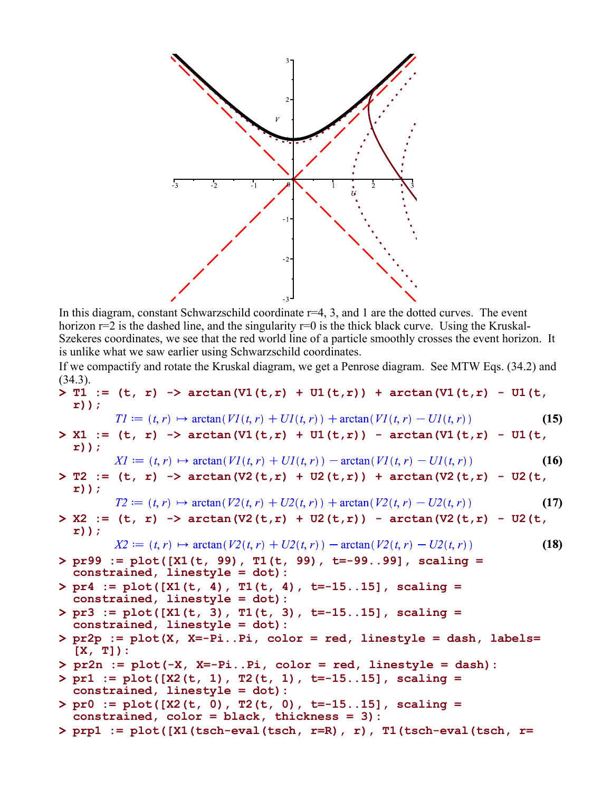

In this diagram, constant Schwarzschild coordinate  $r=4$ , 3, and 1 are the dotted curves. The event horizon  $r=2$  is the dashed line, and the singularity  $r=0$  is the thick black curve. Using the Kruskal-Szekeres coordinates, we see that the red world line of a particle smoothly crosses the event horizon. It is unlike what we saw earlier using Schwarzschild coordinates.

If we compactify and rotate the Kruskal diagram, we get a Penrose diagram. See MTW Eqs. (34.2) and (34.3).

- **> T1 := (t, r) -> arctan(V1(t,r) + U1(t,r)) + arctan(V1(t,r) U1(t, r));**  $TI := (t, r) \mapsto \arctan(VI(t, r) + UI(t, r)) + \arctan(VI(t, r) - UI(t, r))$ **(15) > X1 := (t, r) -> arctan(V1(t,r) + U1(t,r)) - arctan(V1(t,r) - U1(t, r));**  $XI := (t, r) \mapsto \arctan(VI(t, r) + UI(t, r)) - \arctan(VI(t, r) - UI(t, r))$ **(16) > T2 := (t, r) -> arctan(V2(t,r) + U2(t,r)) + arctan(V2(t,r) - U2(t, r));**  $T2 := (t, r) \mapsto \arctan(V2(t, r) + U2(t, r)) + \arctan(V2(t, r) - U2(t, r))$ **(17) > X2 := (t, r) -> arctan(V2(t,r) + U2(t,r)) - arctan(V2(t,r) - U2(t, r));**  $X2 := (t, r) \mapsto \arctan(V2(t, r) + U2(t, r)) - \arctan(V2(t, r) - U2(t, r))$ **(18) > pr99 := plot([X1(t, 99), T1(t, 99), t=-99..99], scaling = constrained, linestyle = dot): > pr4 := plot([X1(t, 4), T1(t, 4), t=-15..15], scaling = constrained, linestyle = dot): > pr3 := plot([X1(t, 3), T1(t, 3), t=-15..15], scaling = constrained, linestyle = dot): > pr2p := plot(X, X=-Pi..Pi, color = red, linestyle = dash, labels= [X, T]): > pr2n := plot(-X, X=-Pi..Pi, color = red, linestyle = dash): > pr1 := plot([X2(t, 1), T2(t, 1), t=-15..15], scaling = constrained, linestyle = dot): > pr0 := plot([X2(t, 0), T2(t, 0), t=-15..15], scaling = constrained, color = black, thickness = 3):**
- **> prp1 := plot([X1(tsch-eval(tsch, r=R), r), T1(tsch-eval(tsch, r=**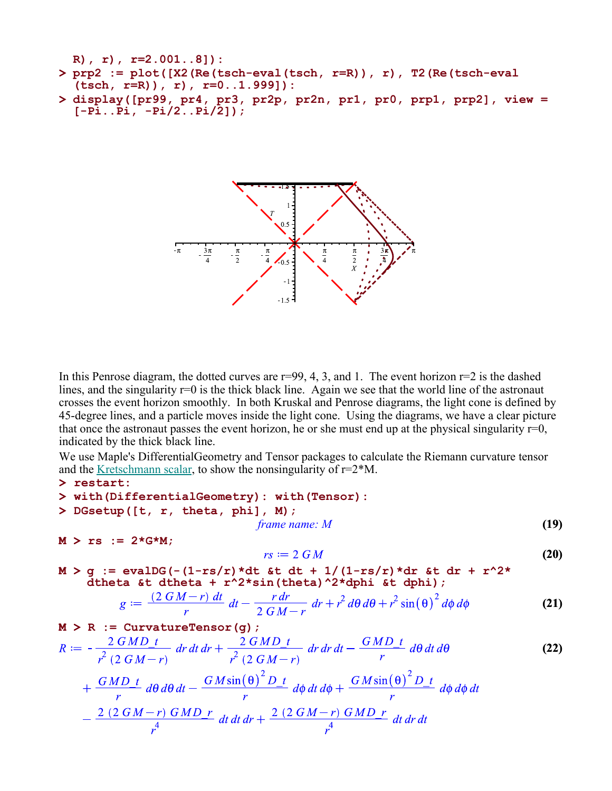```
> 
prp2 := plot([X2(Re(tsch-eval(tsch, r=R)), r), T2(Re(tsch-eval
 R), r), r=2.001..8]):
 (tsch, r=R)), r), r=0..1.999]):
```
**> display([pr99, pr4, pr3, pr2p, pr2n, pr1, pr0, prp1, prp2], view = [-Pi..Pi, -Pi/2..Pi/2]);**



In this Penrose diagram, the dotted curves are  $r=99, 4, 3,$  and 1. The event horizon  $r=2$  is the dashed lines, and the singularity  $r=0$  is the thick black line. Again we see that the world line of the astronaut crosses the event horizon smoothly. In both Kruskal and Penrose diagrams, the light cone is defined by 45-degree lines, and a particle moves inside the light cone. Using the diagrams, we have a clear picture that once the astronaut passes the event horizon, he or she must end up at the physical singularity  $r=0$ , indicated by the thick black line.

We use Maple's DifferentialGeometry and Tensor packages to calculate the Riemann curvature tensor and the Kretschmann scalar, to show the nonsingularity of  $r=2^*M$ .

```
> 
restart:
```

```
> 
with(DifferentialGeometry): with(Tensor):
> 
DGsetup([t, r, theta, phi], M);
```
*frame name: M*

 $M > rs := 2*G*N;$ 

$$
rs := 2 \, G \, M \tag{20}
$$

**(19)**

**M > g := evalDG(-(1-rs/r)\*dt &t dt + 1/(1-rs/r)\*dr &t dr + r^2\* dtheta &t dtheta + r^2\*sin(theta)^2\*dphi &t dphi);**

$$
g := \frac{(2 \text{ }GM - r) \text{ }dt}{r} \text{ } dt - \frac{r \text{ } dr}{2 \text{ }GM - r} \text{ } dr + r^2 \text{ } d\theta \text{ } d\theta + r^2 \sin(\theta)^2 \text{ } d\phi \text{ } d\phi \tag{21}
$$

$$
\mathbf{M} \geq \mathbf{R} := \text{CurvatureTensor}(\mathbf{g}) ;
$$
\n
$$
R := -\frac{2 \text{ GMD}_t}{r^2 (2 \text{ G/M} - r)} dr dt dr + \frac{2 \text{ GMD}_t}{r^2 (2 \text{ G/M} - r)} dr dr dt - \frac{\text{GMD}_t}{r} d\theta dt d\theta
$$
\n
$$
+ \frac{\text{GMD}_t}{r} d\theta d\theta dt - \frac{\text{GMsin}(\theta)^2 D_t}{r} d\phi dt d\phi + \frac{\text{GMsin}(\theta)^2 D_t}{r} d\phi d\phi dt
$$
\n
$$
- \frac{2 (2 \text{ G/M} - r) \text{ GMD}_r}{r^4} dt dt + \frac{2 (2 \text{ G/M} - r) \text{ GMD}_r}{r^4} dt dr dt
$$
\n(22)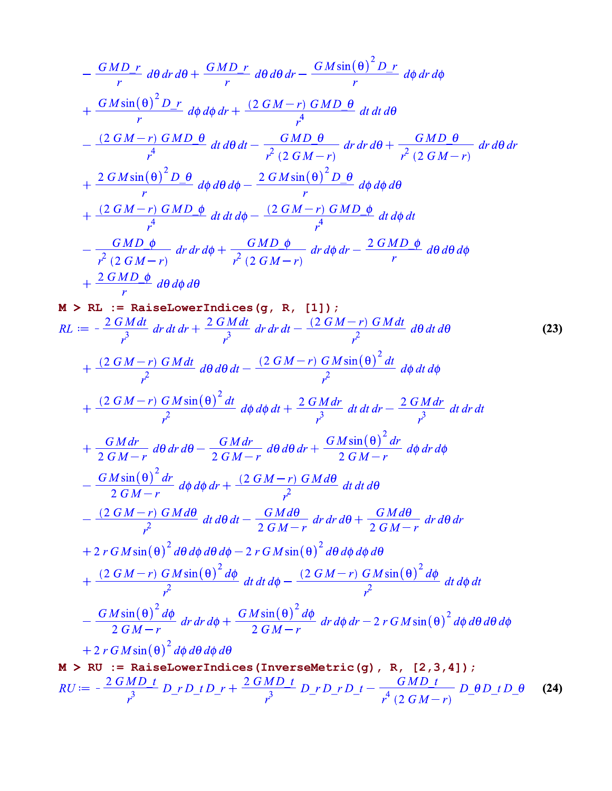$$
-\frac{GMD \ r}{r} d\theta dr d\theta + \frac{GMD \ r}{r} d\theta d\theta dr - \frac{GM\sin(\theta)^2 D \ r}{r} d\phi dr d\phi
$$
  
+ 
$$
\frac{GM\sin(\theta)^2 D \ r}{r} d\phi d\phi dr + \frac{(2 GM - r) GMD \ \theta}{r^4} dt dt d\theta
$$
  
- 
$$
\frac{(2 GM - r) GMD \theta}{r^4} dt d\theta dt - \frac{GMD \ \theta}{r^2 (2 GM - r)} dr dr d\theta + \frac{GMD \ \theta}{r^2 (2 GM - r)} dr d\theta dr
$$
  
+ 
$$
\frac{2 GM\sin(\theta)^2 D \theta}{r} d\phi d\theta d\phi - \frac{2 GM\sin(\theta)^2 D \theta}{r} d\phi d\phi d\theta
$$
  
+ 
$$
\frac{(2 GM - r) GMD \ \phi}{r^4} dt dt d\phi - \frac{(2 GM - r) GMD \ \phi}{r^4} dt d\phi dt
$$
  
- 
$$
\frac{GMD \ \phi}{r^2 (2 GM - r)} dr dr d\phi + \frac{GMD \ \phi}{r^2 (2 GM - r)} dr d\phi dr - \frac{2 GMD \ \phi}{r} d\theta d\theta d\phi
$$
  
+ 
$$
\frac{2 GMD \ \phi}{r} d\theta d\phi d\theta
$$

M > RL := RaiseLowerIndices (g, R, [11);  
\nRL := 
$$
-\frac{2 GMdt}{r^3}
$$
 dr dt dr +  $\frac{2 GMdt}{r^3}$  dr dr dt -  $\frac{(2 GM - r) GMdt}{r^2}$  d $\theta$  dt d $\theta$   
\n+  $\frac{(2 GM - r) GMdt}{r^2}$  d $\theta$  d $\theta$  d $\theta$  -  $\frac{(2 GM - r) GM \sin(\theta)^2 dt}{r^2}$  d $\phi$  d $\phi$  dt d $\phi$   
\n+  $\frac{(2 GM - r) GM \sin(\theta)^2 dt}{r^2}$  d $\phi$  d $\phi$  dt +  $\frac{2 GM dr}{r^3}$  dt dt dr -  $\frac{2 GM dr}{r^3}$  dt dr dt  
\n+  $\frac{GM dr}{2 GM - r}$  d $\theta$  dr d $\theta$  -  $\frac{GM dr}{2 GM - r}$  d $\theta$  d $\theta$  dr +  $\frac{GM \sin(\theta)^2 dr}{2 GM - r}$  d $\phi$  dr d $\phi$   
\n-  $\frac{GM \sin(\theta)^2 dr}{2 GM - r}$  d $\phi$  d $\phi$  dr +  $\frac{(2 GM - r) GM d\theta}{r^2}$  dt dt d $\theta$   
\n-  $\frac{(2 GM - r) GM d\theta}{r^2}$  dt d $\theta$  dt -  $\frac{GM d\theta}{2 GM - r}$  dr dr d $\theta$  +  $\frac{GM d\theta}{2 GM - r}$  dr d $\theta$  dr  
\n+  $2rGM \sin(\theta)^2 d\theta d\phi d\theta d\phi - 2rGM \sin(\theta)^2 d\theta d\phi d\theta d\theta$   
\n+  $\frac{(2 GM - r) GM \sin(\theta)^2 d\phi}{r^2}$  dt dt d $\phi$  -  $\frac{(2 GM - r) GM \sin(\theta)^2 d\phi}{r^2}$  dt d $\phi$  dr  
\n-  $\frac{GM \sin(\theta)^2 d\phi}{2GM - r}$  dr dr d $\phi$  +  $\frac{GM \sin(\theta)^2 d\phi}{2GM - r}$  dr d $\phi$  dr -  $2rGM$